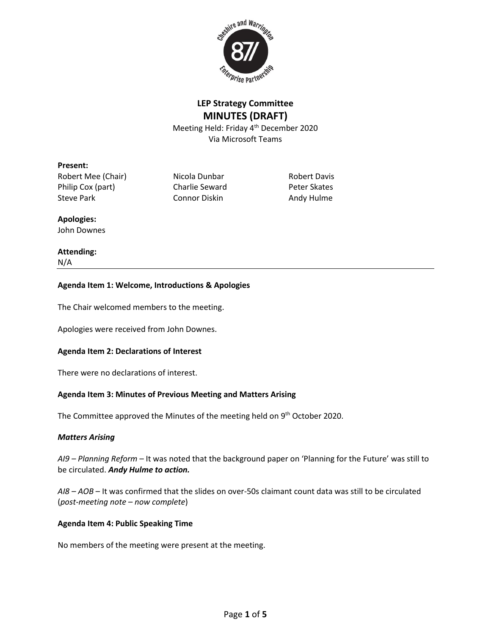

# **LEP Strategy Committee MINUTES (DRAFT)**

Meeting Held: Friday 4th December 2020 Via Microsoft Teams

## **Present:**

Robert Mee (Chair) Micola Dunbar Robert Davis Philip Cox (part) Charlie Seward Peter Skates Steve Park Connor Diskin Andy Hulme

## **Apologies:**

John Downes

## **Attending:** N/A

## **Agenda Item 1: Welcome, Introductions & Apologies**

The Chair welcomed members to the meeting.

Apologies were received from John Downes.

## **Agenda Item 2: Declarations of Interest**

There were no declarations of interest.

## **Agenda Item 3: Minutes of Previous Meeting and Matters Arising**

The Committee approved the Minutes of the meeting held on  $9<sup>th</sup>$  October 2020.

### *Matters Arising*

*AI9 – Planning Reform –* It was noted that the background paper on 'Planning for the Future' was still to be circulated. *Andy Hulme to action.*

*AI8 – AOB* – It was confirmed that the slides on over-50s claimant count data was still to be circulated (*post-meeting note – now complete*)

### **Agenda Item 4: Public Speaking Time**

No members of the meeting were present at the meeting.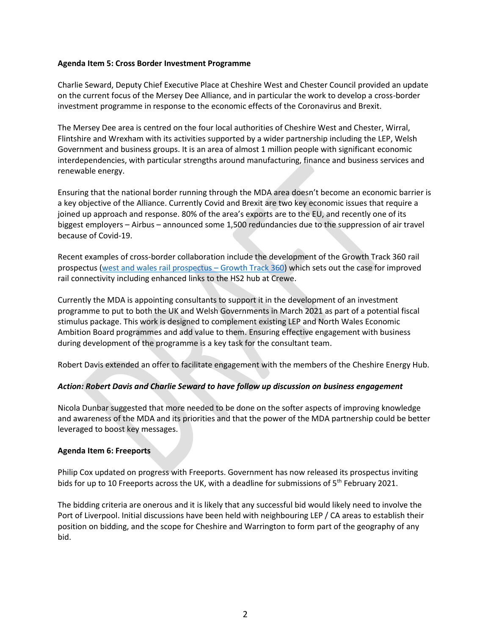### **Agenda Item 5: Cross Border Investment Programme**

Charlie Seward, Deputy Chief Executive Place at Cheshire West and Chester Council provided an update on the current focus of the Mersey Dee Alliance, and in particular the work to develop a cross-border investment programme in response to the economic effects of the Coronavirus and Brexit.

The Mersey Dee area is centred on the four local authorities of Cheshire West and Chester, Wirral, Flintshire and Wrexham with its activities supported by a wider partnership including the LEP, Welsh Government and business groups. It is an area of almost 1 million people with significant economic interdependencies, with particular strengths around manufacturing, finance and business services and renewable energy.

Ensuring that the national border running through the MDA area doesn't become an economic barrier is a key objective of the Alliance. Currently Covid and Brexit are two key economic issues that require a joined up approach and response. 80% of the area's exports are to the EU, and recently one of its biggest employers – Airbus – announced some 1,500 redundancies due to the suppression of air travel because of Covid-19.

Recent examples of cross-border collaboration include the development of the Growth Track 360 rail prospectus [\(west and wales rail prospectus](https://www.growthtrack360.com/home/westandwalesrailprospectus/) – Growth Track 360) which sets out the case for improved rail connectivity including enhanced links to the HS2 hub at Crewe.

Currently the MDA is appointing consultants to support it in the development of an investment programme to put to both the UK and Welsh Governments in March 2021 as part of a potential fiscal stimulus package. This work is designed to complement existing LEP and North Wales Economic Ambition Board programmes and add value to them. Ensuring effective engagement with business during development of the programme is a key task for the consultant team.

Robert Davis extended an offer to facilitate engagement with the members of the Cheshire Energy Hub.

### *Action: Robert Davis and Charlie Seward to have follow up discussion on business engagement*

Nicola Dunbar suggested that more needed to be done on the softer aspects of improving knowledge and awareness of the MDA and its priorities and that the power of the MDA partnership could be better leveraged to boost key messages.

#### **Agenda Item 6: Freeports**

Philip Cox updated on progress with Freeports. Government has now released its prospectus inviting bids for up to 10 Freeports across the UK, with a deadline for submissions of  $5<sup>th</sup>$  February 2021.

The bidding criteria are onerous and it is likely that any successful bid would likely need to involve the Port of Liverpool. Initial discussions have been held with neighbouring LEP / CA areas to establish their position on bidding, and the scope for Cheshire and Warrington to form part of the geography of any bid.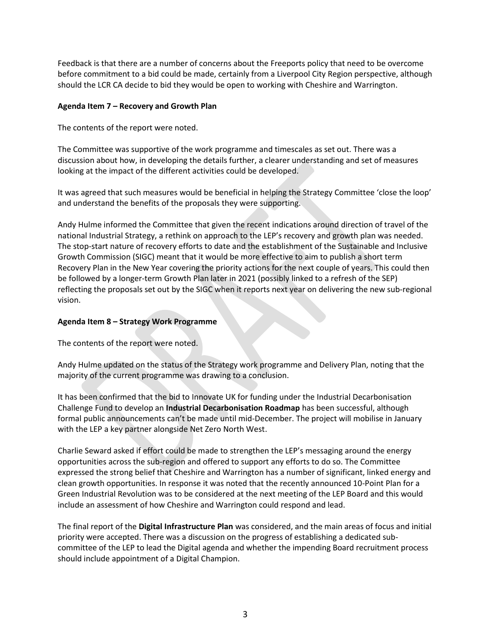Feedback is that there are a number of concerns about the Freeports policy that need to be overcome before commitment to a bid could be made, certainly from a Liverpool City Region perspective, although should the LCR CA decide to bid they would be open to working with Cheshire and Warrington.

## **Agenda Item 7 – Recovery and Growth Plan**

The contents of the report were noted.

The Committee was supportive of the work programme and timescales as set out. There was a discussion about how, in developing the details further, a clearer understanding and set of measures looking at the impact of the different activities could be developed.

It was agreed that such measures would be beneficial in helping the Strategy Committee 'close the loop' and understand the benefits of the proposals they were supporting.

Andy Hulme informed the Committee that given the recent indications around direction of travel of the national Industrial Strategy, a rethink on approach to the LEP's recovery and growth plan was needed. The stop-start nature of recovery efforts to date and the establishment of the Sustainable and Inclusive Growth Commission (SIGC) meant that it would be more effective to aim to publish a short term Recovery Plan in the New Year covering the priority actions for the next couple of years. This could then be followed by a longer-term Growth Plan later in 2021 (possibly linked to a refresh of the SEP) reflecting the proposals set out by the SIGC when it reports next year on delivering the new sub-regional vision.

## **Agenda Item 8 – Strategy Work Programme**

The contents of the report were noted.

Andy Hulme updated on the status of the Strategy work programme and Delivery Plan, noting that the majority of the current programme was drawing to a conclusion.

It has been confirmed that the bid to Innovate UK for funding under the Industrial Decarbonisation Challenge Fund to develop an **Industrial Decarbonisation Roadmap** has been successful, although formal public announcements can't be made until mid-December. The project will mobilise in January with the LEP a key partner alongside Net Zero North West.

Charlie Seward asked if effort could be made to strengthen the LEP's messaging around the energy opportunities across the sub-region and offered to support any efforts to do so. The Committee expressed the strong belief that Cheshire and Warrington has a number of significant, linked energy and clean growth opportunities. In response it was noted that the recently announced 10-Point Plan for a Green Industrial Revolution was to be considered at the next meeting of the LEP Board and this would include an assessment of how Cheshire and Warrington could respond and lead.

The final report of the **Digital Infrastructure Plan** was considered, and the main areas of focus and initial priority were accepted. There was a discussion on the progress of establishing a dedicated subcommittee of the LEP to lead the Digital agenda and whether the impending Board recruitment process should include appointment of a Digital Champion.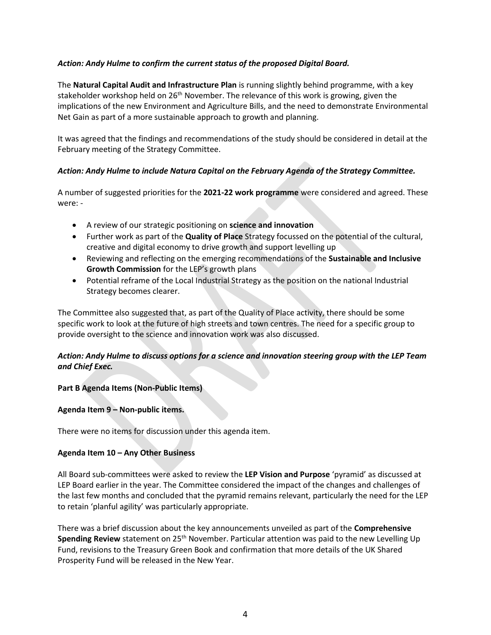## *Action: Andy Hulme to confirm the current status of the proposed Digital Board.*

The **Natural Capital Audit and Infrastructure Plan** is running slightly behind programme, with a key stakeholder workshop held on  $26<sup>th</sup>$  November. The relevance of this work is growing, given the implications of the new Environment and Agriculture Bills, and the need to demonstrate Environmental Net Gain as part of a more sustainable approach to growth and planning.

It was agreed that the findings and recommendations of the study should be considered in detail at the February meeting of the Strategy Committee.

## *Action: Andy Hulme to include Natura Capital on the February Agenda of the Strategy Committee.*

A number of suggested priorities for the **2021-22 work programme** were considered and agreed. These were: -

- A review of our strategic positioning on **science and innovation**
- Further work as part of the **Quality of Place** Strategy focussed on the potential of the cultural, creative and digital economy to drive growth and support levelling up
- Reviewing and reflecting on the emerging recommendations of the **Sustainable and Inclusive Growth Commission** for the LEP's growth plans
- Potential reframe of the Local Industrial Strategy as the position on the national Industrial Strategy becomes clearer.

The Committee also suggested that, as part of the Quality of Place activity, there should be some specific work to look at the future of high streets and town centres. The need for a specific group to provide oversight to the science and innovation work was also discussed.

## *Action: Andy Hulme to discuss options for a science and innovation steering group with the LEP Team and Chief Exec.*

### **Part B Agenda Items (Non-Public Items)**

### **Agenda Item 9 – Non-public items.**

There were no items for discussion under this agenda item.

### **Agenda Item 10 – Any Other Business**

All Board sub-committees were asked to review the **LEP Vision and Purpose** 'pyramid' as discussed at LEP Board earlier in the year. The Committee considered the impact of the changes and challenges of the last few months and concluded that the pyramid remains relevant, particularly the need for the LEP to retain 'planful agility' was particularly appropriate.

There was a brief discussion about the key announcements unveiled as part of the **Comprehensive Spending Review** statement on 25<sup>th</sup> November. Particular attention was paid to the new Levelling Up Fund, revisions to the Treasury Green Book and confirmation that more details of the UK Shared Prosperity Fund will be released in the New Year.